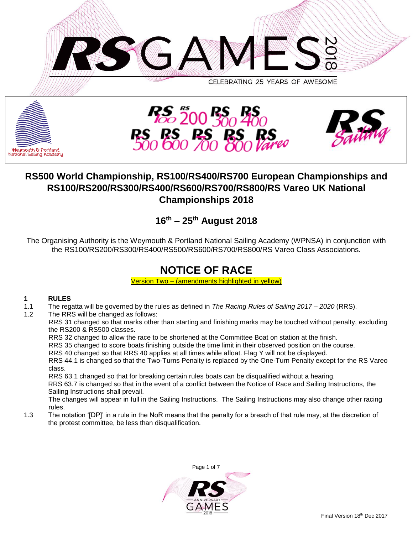





# **RS500 World Championship, RS100/RS400/RS700 European Championships and RS100/RS200/RS300/RS400/RS600/RS700/RS800/RS Vareo UK National Championships 2018**

# **16th – 25th August 2018**

The Organising Authority is the Weymouth & Portland National Sailing Academy (WPNSA) in conjunction with the RS100/RS200/RS300/RS400/RS500/RS600/RS700/RS800/RS Vareo Class Associations.

# **NOTICE OF RACE**

Version Two – (amendments highlighted in yellow)

## **1 RULES**

- 1.1 The regatta will be governed by the rules as defined in *The Racing Rules of Sailing 2017 – 2020* (RRS).
- 1.2 The RRS will be changed as follows:

RRS 31 changed so that marks other than starting and finishing marks may be touched without penalty, excluding the RS200 & RS500 classes.

RRS 32 changed to allow the race to be shortened at the Committee Boat on station at the finish.

RRS 35 changed to score boats finishing outside the time limit in their observed position on the course.

RRS 40 changed so that RRS 40 applies at all times while afloat. Flag Y will not be displayed. RRS 44.1 is changed so that the Two-Turns Penalty is replaced by the One-Turn Penalty except for the RS Vareo class.

RRS 63.1 changed so that for breaking certain rules boats can be disqualified without a hearing. RRS 63.7 is changed so that in the event of a conflict between the Notice of Race and Sailing Instructions, the Sailing Instructions shall prevail.

The changes will appear in full in the Sailing Instructions. The Sailing Instructions may also change other racing rules.

1.3 The notation '[DP]' in a rule in the NoR means that the penalty for a breach of that rule may, at the discretion of the protest committee, be less than disqualification.

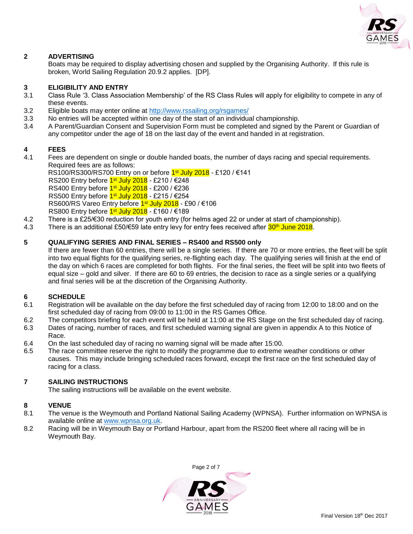

### **2 ADVERTISING**

Boats may be required to display advertising chosen and supplied by the Organising Authority. If this rule is broken, World Sailing Regulation 20.9.2 applies. [DP].

#### **3 ELIGIBILITY AND ENTRY**

- 3.1 Class Rule '3. Class Association Membership' of the RS Class Rules will apply for eligibility to compete in any of these events.
- 3.2 Eligible boats may enter online at<http://www.rssailing.org/rsgames/>
- 3.3 No entries will be accepted within one day of the start of an individual championship.
- 3.4 A Parent/Guardian Consent and Supervision Form must be completed and signed by the Parent or Guardian of any competitor under the age of 18 on the last day of the event and handed in at registration.

#### **4 FEES**

4.1 Fees are dependent on single or double handed boats, the number of days racing and special requirements. Required fees are as follows:

RS100/RS300/RS700 Entry on or before 1st July 2018 - £120 / €141 RS200 Entry before <mark>1औ July 2018</mark> - £210 / €248 RS400 Entry before <mark>1औ July 2018</mark> - £200 / €236 RS500 Entry before <mark>1औ July 2018</mark> - £215 / €254 RS600/RS Vareo Entry before <mark>1औ July 2018</mark> - £90 / €106

RS800 Entry before <mark>1औ July 2018</mark> - £160 / €189

- 4.2 There is a £25/€30 reduction for youth entry (for helms aged 22 or under at start of championship).
- 4.3 There is an additional £50/€59 late entry levy for entry fees received after 30<sup>th</sup> June 2018.

#### **5 QUALIFYING SERIES AND FINAL SERIES – RS400 and RS500 only**

If there are fewer than 60 entries, there will be a single series. If there are 70 or more entries, the fleet will be split into two equal flights for the qualifying series, re-flighting each day. The qualifying series will finish at the end of the day on which 6 races are completed for both flights. For the final series, the fleet will be split into two fleets of equal size – gold and silver. If there are 60 to 69 entries, the decision to race as a single series or a qualifying and final series will be at the discretion of the Organising Authority.

#### **6 SCHEDULE**

- 6.1 Registration will be available on the day before the first scheduled day of racing from 12:00 to 18:00 and on the first scheduled day of racing from 09:00 to 11:00 in the RS Games Office.
- 6.2 The competitors briefing for each event will be held at 11:00 at the RS Stage on the first scheduled day of racing.
- 6.3 Dates of racing, number of races, and first scheduled warning signal are given in appendix A to this Notice of Race.
- 6.4 On the last scheduled day of racing no warning signal will be made after 15:00.
- 6.5 The race committee reserve the right to modify the programme due to extreme weather conditions or other causes. This may include bringing scheduled races forward, except the first race on the first scheduled day of racing for a class.

### **7 SAILING INSTRUCTIONS**

The sailing instructions will be available on the event website.

#### **8 VENUE**

- 8.1 The venue is the Weymouth and Portland National Sailing Academy (WPNSA). Further information on WPNSA is available online at [www.wpnsa.org.uk.](http://www.wpnsa.org.uk/)
- 8.2 Racing will be in Weymouth Bay or Portland Harbour, apart from the RS200 fleet where all racing will be in Weymouth Bay.

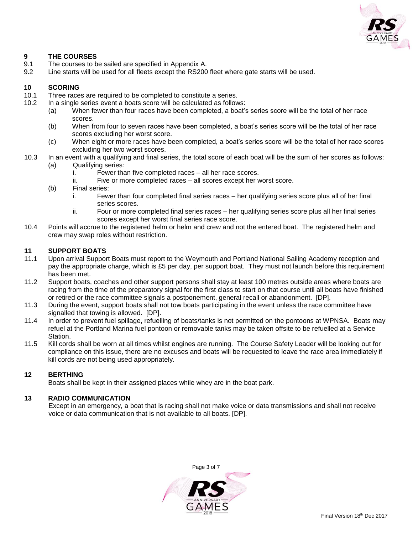

### **9 THE COURSES**

- 9.1 The courses to be sailed are specified in Appendix A.
- 9.2 Line starts will be used for all fleets except the RS200 fleet where gate starts will be used.

#### **10 SCORING**

- 10.1 Three races are required to be completed to constitute a series.
- 10.2 In a single series event a boats score will be calculated as follows:
	- (a) When fewer than four races have been completed, a boat's series score will be the total of her race scores.
	- (b) When from four to seven races have been completed, a boat's series score will be the total of her race scores excluding her worst score.
	- (c) When eight or more races have been completed, a boat's series score will be the total of her race scores excluding her two worst scores.
- 10.3 In an event with a qualifying and final series, the total score of each boat will be the sum of her scores as follows: (a) Qualifying series:
	- i. Fewer than five completed races all her race scores.
	- ii. Five or more completed races all scores except her worst score.
	- (b) Final series:
		- i. Fewer than four completed final series races her qualifying series score plus all of her final series scores.
		- ii. Four or more completed final series races her qualifying series score plus all her final series scores except her worst final series race score.
- 10.4 Points will accrue to the registered helm or helm and crew and not the entered boat. The registered helm and crew may swap roles without restriction.

#### **11 SUPPORT BOATS**

- 11.1 Upon arrival Support Boats must report to the Weymouth and Portland National Sailing Academy reception and pay the appropriate charge, which is £5 per day, per support boat. They must not launch before this requirement has been met.
- 11.2 Support boats, coaches and other support persons shall stay at least 100 metres outside areas where boats are racing from the time of the preparatory signal for the first class to start on that course until all boats have finished or retired or the race committee signals a postponement, general recall or abandonment. [DP].
- 11.3 During the event, support boats shall not tow boats participating in the event unless the race committee have signalled that towing is allowed. [DP].
- 11.4 In order to prevent fuel spillage, refuelling of boats/tanks is not permitted on the pontoons at WPNSA. Boats may refuel at the Portland Marina fuel pontoon or removable tanks may be taken offsite to be refuelled at a Service Station.
- 11.5 Kill cords shall be worn at all times whilst engines are running. The Course Safety Leader will be looking out for compliance on this issue, there are no excuses and boats will be requested to leave the race area immediately if kill cords are not being used appropriately.

#### **12 BERTHING**

Boats shall be kept in their assigned places while whey are in the boat park.

#### **13 RADIO COMMUNICATION**

Except in an emergency, a boat that is racing shall not make voice or data transmissions and shall not receive voice or data communication that is not available to all boats. [DP].

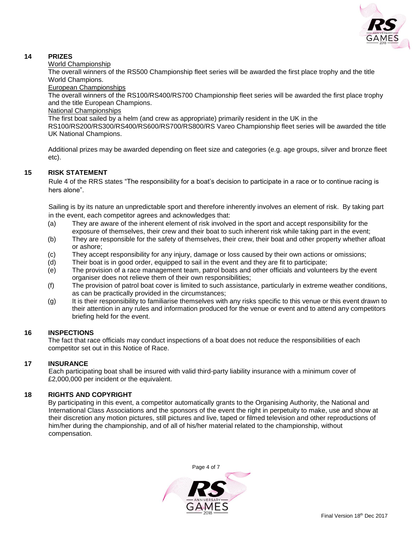

## **14 PRIZES**

#### World Championship

The overall winners of the RS500 Championship fleet series will be awarded the first place trophy and the title World Champions.

#### European Championships

The overall winners of the RS100/RS400/RS700 Championship fleet series will be awarded the first place trophy and the title European Champions.

#### National Championships

The first boat sailed by a helm (and crew as appropriate) primarily resident in the UK in the

RS100/RS200/RS300/RS400/RS600/RS700/RS800/RS Vareo Championship fleet series will be awarded the title UK National Champions.

Additional prizes may be awarded depending on fleet size and categories (e.g. age groups, silver and bronze fleet etc).

## **15 RISK STATEMENT**

Rule 4 of the RRS states "The responsibility for a boat's decision to participate in a race or to continue racing is hers alone".

Sailing is by its nature an unpredictable sport and therefore inherently involves an element of risk. By taking part in the event, each competitor agrees and acknowledges that:

- (a) They are aware of the inherent element of risk involved in the sport and accept responsibility for the exposure of themselves, their crew and their boat to such inherent risk while taking part in the event;
- (b) They are responsible for the safety of themselves, their crew, their boat and other property whether afloat or ashore;
- (c) They accept responsibility for any injury, damage or loss caused by their own actions or omissions;
- (d) Their boat is in good order, equipped to sail in the event and they are fit to participate;
- (e) The provision of a race management team, patrol boats and other officials and volunteers by the event organiser does not relieve them of their own responsibilities;
- (f) The provision of patrol boat cover is limited to such assistance, particularly in extreme weather conditions, as can be practically provided in the circumstances;
- (g) It is their responsibility to familiarise themselves with any risks specific to this venue or this event drawn to their attention in any rules and information produced for the venue or event and to attend any competitors briefing held for the event.

### **16 INSPECTIONS**

The fact that race officials may conduct inspections of a boat does not reduce the responsibilities of each competitor set out in this Notice of Race.

### **17 INSURANCE**

Each participating boat shall be insured with valid third-party liability insurance with a minimum cover of £2,000,000 per incident or the equivalent.

### **18 RIGHTS AND COPYRIGHT**

By participating in this event, a competitor automatically grants to the Organising Authority, the National and International Class Associations and the sponsors of the event the right in perpetuity to make, use and show at their discretion any motion pictures, still pictures and live, taped or filmed television and other reproductions of him/her during the championship, and of all of his/her material related to the championship, without compensation.

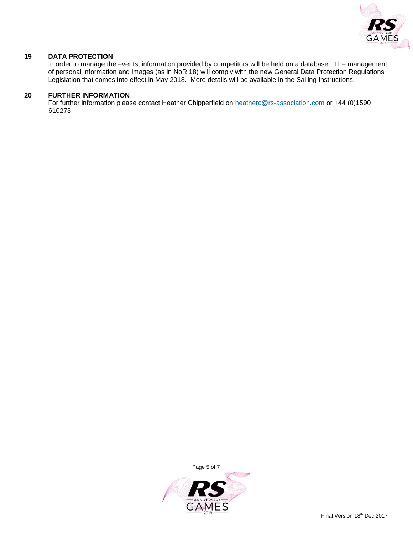

#### **19 DATA PROTECTION**

In order to manage the events, information provided by competitors will be held on a database. The management of personal information and images (as in NoR 18) will comply with the new General Data Protection Regulations Legislation that comes into effect in May 2018. More details will be available in the Sailing Instructions.

#### **20 FURTHER INFORMATION**

For further information please contact Heather Chipperfield on [heatherc@rs-association.com](mailto:heatherc@rs-association.com) or +44 (0)1590 610273.

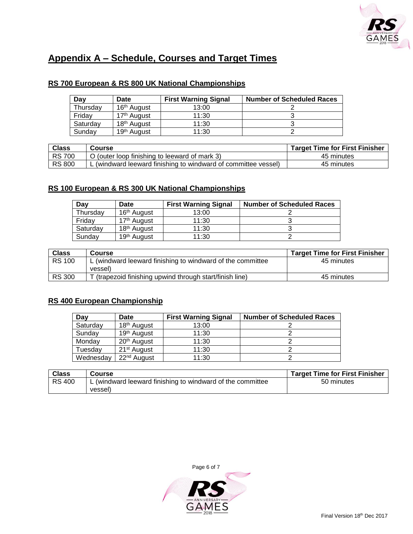

# **Appendix A – Schedule, Courses and Target Times**

# **RS 700 European & RS 800 UK National Championships**

| Day      | Date                    | <b>First Warning Signal</b> | <b>Number of Scheduled Races</b> |
|----------|-------------------------|-----------------------------|----------------------------------|
| Thursday | 16 <sup>th</sup> August | 13:00                       |                                  |
| Fridav   | 17 <sup>th</sup> August | 11:30                       |                                  |
| Saturday | 18 <sup>th</sup> August | 11:30                       |                                  |
| Sunday   | 19 <sup>th</sup> August | 11:30                       |                                  |

| <b>Class</b>  | <b>Course</b>                                                | <b>Target Time for First Finisher</b> |
|---------------|--------------------------------------------------------------|---------------------------------------|
| <b>RS 700</b> | O (outer loop finishing to leeward of mark 3)                | 45 minutes                            |
| <b>RS 800</b> | (windward leeward finishing to windward of committee vessel) | 45 minutes                            |

# **RS 100 European & RS 300 UK National Championships**

| Day      | Date                    | <b>First Warning Signal</b> | <b>Number of Scheduled Races</b> |
|----------|-------------------------|-----------------------------|----------------------------------|
| Thursday | 16 <sup>th</sup> August | 13:00                       |                                  |
| Friday   | 17 <sup>th</sup> August | 11:30                       |                                  |
| Saturday | 18 <sup>th</sup> August | 11:30                       |                                  |
| Sundav   | 19 <sup>th</sup> August | 11:30                       |                                  |

| <b>Class</b>  | <b>Course</b>                                              | <b>Target Time for First Finisher</b> |
|---------------|------------------------------------------------------------|---------------------------------------|
| <b>RS 100</b> | L (windward leeward finishing to windward of the committee | 45 minutes                            |
|               | vessel)                                                    |                                       |
| <b>RS 300</b> | T (trapezoid finishing upwind through start/finish line)   | 45 minutes                            |

# **RS 400 European Championship**

| Day       | Date                    | <b>First Warning Signal</b> | <b>Number of Scheduled Races</b> |
|-----------|-------------------------|-----------------------------|----------------------------------|
| Saturday  | 18 <sup>th</sup> August | 13:00                       |                                  |
| Sunday    | 19 <sup>th</sup> August | 11:30                       |                                  |
| Monday    | 20 <sup>th</sup> August | 11:30                       |                                  |
| Tuesday   | 21 <sup>st</sup> August | 11:30                       |                                  |
| Wednesday | 22 <sup>nd</sup> August | 11:30                       |                                  |

| <b>Class</b>  | Course                                                     | <b>Target Time for First Finisher</b> |
|---------------|------------------------------------------------------------|---------------------------------------|
| <b>RS 400</b> | L (windward leeward finishing to windward of the committee | 50 minutes                            |
|               | vessel)                                                    |                                       |